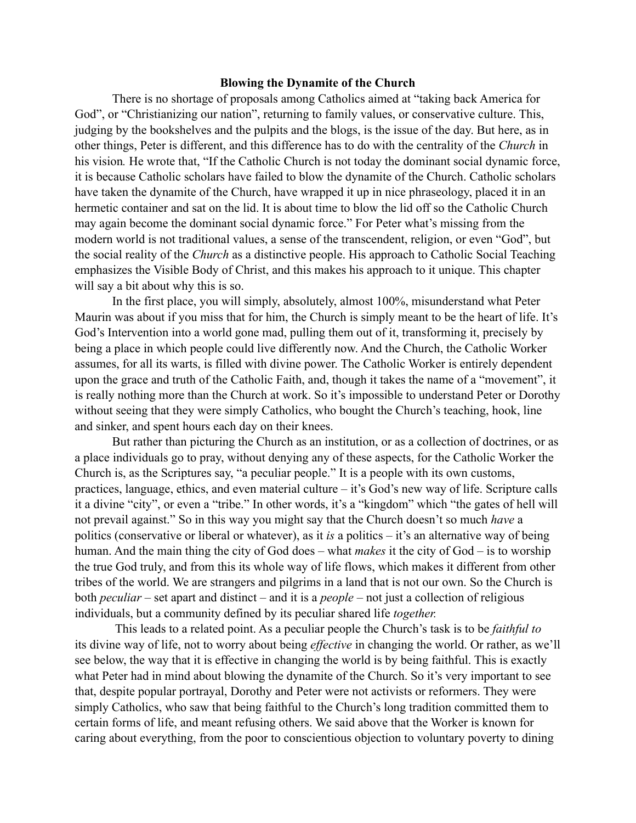## **Blowing the Dynamite of the Church**

There is no shortage of proposals among Catholics aimed at "taking back America for God", or "Christianizing our nation", returning to family values, or conservative culture. This, judging by the bookshelves and the pulpits and the blogs, is the issue of the day. But here, as in other things, Peter is different, and this difference has to do with the centrality of the *Church* in his vision. He wrote that, "If the Catholic Church is not today the dominant social dynamic force, it is because Catholic scholars have failed to blow the dynamite of the Church. Catholic scholars have taken the dynamite of the Church, have wrapped it up in nice phraseology, placed it in an hermetic container and sat on the lid. It is about time to blow the lid off so the Catholic Church may again become the dominant social dynamic force." For Peter what's missing from the modern world is not traditional values, a sense of the transcendent, religion, or even "God", but the social reality of the *Church* as a distinctive people. His approach to Catholic Social Teaching emphasizes the Visible Body of Christ, and this makes his approach to it unique. This chapter will say a bit about why this is so.

In the first place, you will simply, absolutely, almost 100%, misunderstand what Peter Maurin was about if you miss that for him, the Church is simply meant to be the heart of life. It's God's Intervention into a world gone mad, pulling them out of it, transforming it, precisely by being a place in which people could live differently now. And the Church, the Catholic Worker assumes, for all its warts, is filled with divine power. The Catholic Worker is entirely dependent upon the grace and truth of the Catholic Faith, and, though it takes the name of a "movement", it is really nothing more than the Church at work. So it's impossible to understand Peter or Dorothy without seeing that they were simply Catholics, who bought the Church's teaching, hook, line and sinker, and spent hours each day on their knees.

But rather than picturing the Church as an institution, or as a collection of doctrines, or as a place individuals go to pray, without denying any of these aspects, for the Catholic Worker the Church is, as the Scriptures say, "a peculiar people." It is a people with its own customs, practices, language, ethics, and even material culture – it's God's new way of life. Scripture calls it a divine "city", or even a "tribe." In other words, it's a "kingdom" which "the gates of hell will not prevail against." So in this way you might say that the Church doesn't so much *have* a politics (conservative or liberal or whatever), as it *is* a politics – it's an alternative way of being human. And the main thing the city of God does – what *makes* it the city of God – is to worship the true God truly, and from this its whole way of life flows, which makes it different from other tribes of the world. We are strangers and pilgrims in a land that is not our own. So the Church is both *peculiar* – set apart and distinct – and it is a *people* – not just a collection of religious individuals, but a community defined by its peculiar shared life *together.* 

 This leads to a related point. As a peculiar people the Church's task is to be *faithful to* its divine way of life, not to worry about being *effective* in changing the world. Or rather, as we'll see below, the way that it is effective in changing the world is by being faithful. This is exactly what Peter had in mind about blowing the dynamite of the Church. So it's very important to see that, despite popular portrayal, Dorothy and Peter were not activists or reformers. They were simply Catholics, who saw that being faithful to the Church's long tradition committed them to certain forms of life, and meant refusing others. We said above that the Worker is known for caring about everything, from the poor to conscientious objection to voluntary poverty to dining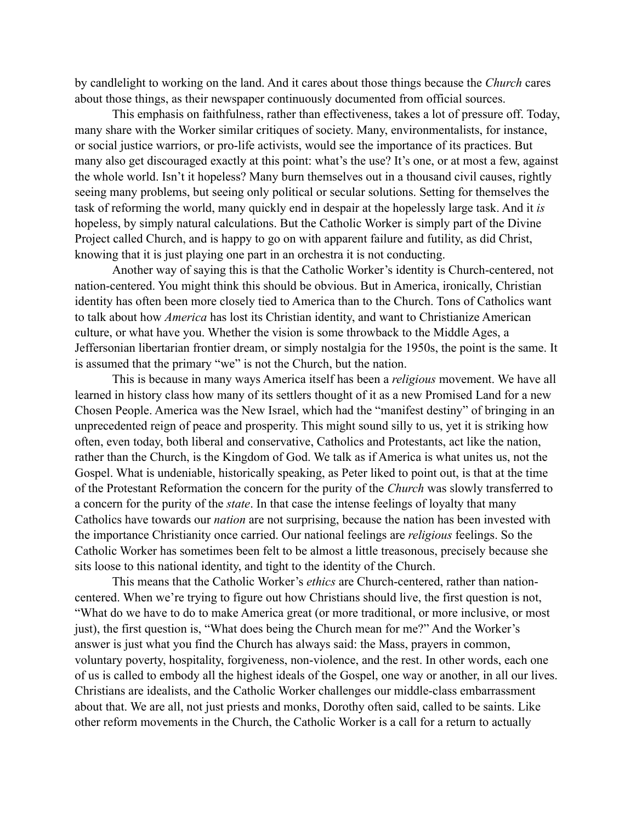by candlelight to working on the land. And it cares about those things because the *Church* cares about those things, as their newspaper continuously documented from official sources.

This emphasis on faithfulness, rather than effectiveness, takes a lot of pressure off. Today, many share with the Worker similar critiques of society. Many, environmentalists, for instance, or social justice warriors, or pro-life activists, would see the importance of its practices. But many also get discouraged exactly at this point: what's the use? It's one, or at most a few, against the whole world. Isn't it hopeless? Many burn themselves out in a thousand civil causes, rightly seeing many problems, but seeing only political or secular solutions. Setting for themselves the task of reforming the world, many quickly end in despair at the hopelessly large task. And it *is*  hopeless, by simply natural calculations. But the Catholic Worker is simply part of the Divine Project called Church, and is happy to go on with apparent failure and futility, as did Christ, knowing that it is just playing one part in an orchestra it is not conducting.

Another way of saying this is that the Catholic Worker's identity is Church-centered, not nation-centered. You might think this should be obvious. But in America, ironically, Christian identity has often been more closely tied to America than to the Church. Tons of Catholics want to talk about how *America* has lost its Christian identity, and want to Christianize American culture, or what have you. Whether the vision is some throwback to the Middle Ages, a Jeffersonian libertarian frontier dream, or simply nostalgia for the 1950s, the point is the same. It is assumed that the primary "we" is not the Church, but the nation.

This is because in many ways America itself has been a *religious* movement. We have all learned in history class how many of its settlers thought of it as a new Promised Land for a new Chosen People. America was the New Israel, which had the "manifest destiny" of bringing in an unprecedented reign of peace and prosperity. This might sound silly to us, yet it is striking how often, even today, both liberal and conservative, Catholics and Protestants, act like the nation, rather than the Church, is the Kingdom of God. We talk as if America is what unites us, not the Gospel. What is undeniable, historically speaking, as Peter liked to point out, is that at the time of the Protestant Reformation the concern for the purity of the *Church* was slowly transferred to a concern for the purity of the *state*. In that case the intense feelings of loyalty that many Catholics have towards our *nation* are not surprising, because the nation has been invested with the importance Christianity once carried. Our national feelings are *religious* feelings. So the Catholic Worker has sometimes been felt to be almost a little treasonous, precisely because she sits loose to this national identity, and tight to the identity of the Church.

This means that the Catholic Worker's *ethics* are Church-centered, rather than nationcentered. When we're trying to figure out how Christians should live, the first question is not, "What do we have to do to make America great (or more traditional, or more inclusive, or most just), the first question is, "What does being the Church mean for me?" And the Worker's answer is just what you find the Church has always said: the Mass, prayers in common, voluntary poverty, hospitality, forgiveness, non-violence, and the rest. In other words, each one of us is called to embody all the highest ideals of the Gospel, one way or another, in all our lives. Christians are idealists, and the Catholic Worker challenges our middle-class embarrassment about that. We are all, not just priests and monks, Dorothy often said, called to be saints. Like other reform movements in the Church, the Catholic Worker is a call for a return to actually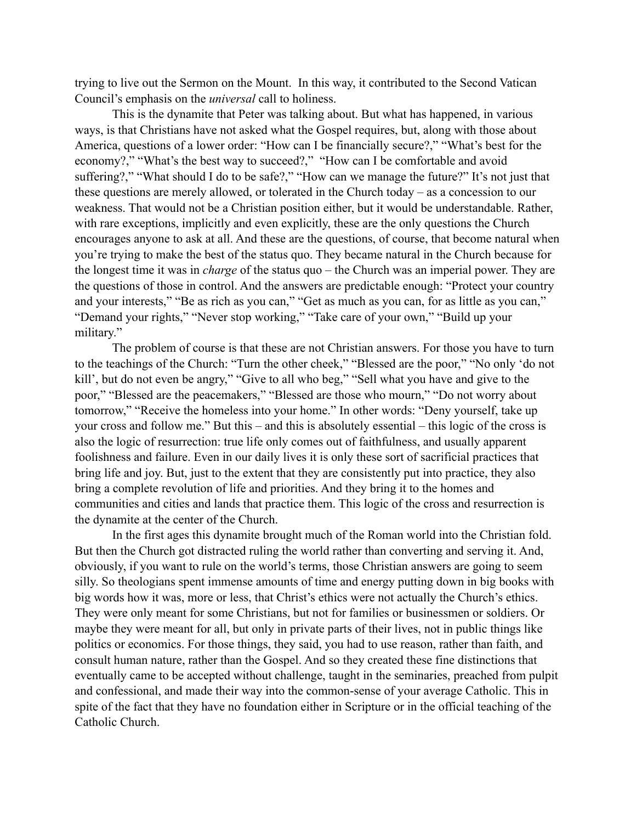trying to live out the Sermon on the Mount. In this way, it contributed to the Second Vatican Council's emphasis on the *universal* call to holiness.

This is the dynamite that Peter was talking about. But what has happened, in various ways, is that Christians have not asked what the Gospel requires, but, along with those about America, questions of a lower order: "How can I be financially secure?," "What's best for the economy?," "What's the best way to succeed?," "How can I be comfortable and avoid suffering?," "What should I do to be safe?," "How can we manage the future?" It's not just that these questions are merely allowed, or tolerated in the Church today – as a concession to our weakness. That would not be a Christian position either, but it would be understandable. Rather, with rare exceptions, implicitly and even explicitly, these are the only questions the Church encourages anyone to ask at all. And these are the questions, of course, that become natural when you're trying to make the best of the status quo. They became natural in the Church because for the longest time it was in *charge* of the status quo – the Church was an imperial power. They are the questions of those in control. And the answers are predictable enough: "Protect your country and your interests," "Be as rich as you can," "Get as much as you can, for as little as you can," "Demand your rights," "Never stop working," "Take care of your own," "Build up your military."

The problem of course is that these are not Christian answers. For those you have to turn to the teachings of the Church: "Turn the other cheek," "Blessed are the poor," "No only 'do not kill', but do not even be angry," "Give to all who beg," "Sell what you have and give to the poor," "Blessed are the peacemakers," "Blessed are those who mourn," "Do not worry about tomorrow," "Receive the homeless into your home." In other words: "Deny yourself, take up your cross and follow me." But this – and this is absolutely essential – this logic of the cross is also the logic of resurrection: true life only comes out of faithfulness, and usually apparent foolishness and failure. Even in our daily lives it is only these sort of sacrificial practices that bring life and joy. But, just to the extent that they are consistently put into practice, they also bring a complete revolution of life and priorities. And they bring it to the homes and communities and cities and lands that practice them. This logic of the cross and resurrection is the dynamite at the center of the Church.

In the first ages this dynamite brought much of the Roman world into the Christian fold. But then the Church got distracted ruling the world rather than converting and serving it. And, obviously, if you want to rule on the world's terms, those Christian answers are going to seem silly. So theologians spent immense amounts of time and energy putting down in big books with big words how it was, more or less, that Christ's ethics were not actually the Church's ethics. They were only meant for some Christians, but not for families or businessmen or soldiers. Or maybe they were meant for all, but only in private parts of their lives, not in public things like politics or economics. For those things, they said, you had to use reason, rather than faith, and consult human nature, rather than the Gospel. And so they created these fine distinctions that eventually came to be accepted without challenge, taught in the seminaries, preached from pulpit and confessional, and made their way into the common-sense of your average Catholic. This in spite of the fact that they have no foundation either in Scripture or in the official teaching of the Catholic Church.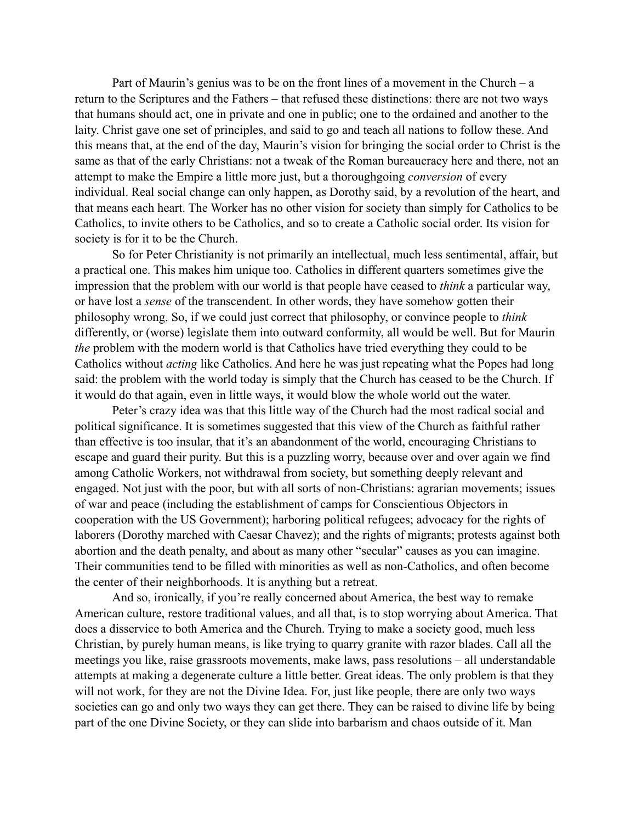Part of Maurin's genius was to be on the front lines of a movement in the Church – a return to the Scriptures and the Fathers – that refused these distinctions: there are not two ways that humans should act, one in private and one in public; one to the ordained and another to the laity. Christ gave one set of principles, and said to go and teach all nations to follow these. And this means that, at the end of the day, Maurin's vision for bringing the social order to Christ is the same as that of the early Christians: not a tweak of the Roman bureaucracy here and there, not an attempt to make the Empire a little more just, but a thoroughgoing *conversion* of every individual. Real social change can only happen, as Dorothy said, by a revolution of the heart, and that means each heart. The Worker has no other vision for society than simply for Catholics to be Catholics, to invite others to be Catholics, and so to create a Catholic social order. Its vision for society is for it to be the Church.

So for Peter Christianity is not primarily an intellectual, much less sentimental, affair, but a practical one. This makes him unique too. Catholics in different quarters sometimes give the impression that the problem with our world is that people have ceased to *think* a particular way, or have lost a *sense* of the transcendent. In other words, they have somehow gotten their philosophy wrong. So, if we could just correct that philosophy, or convince people to *think* differently, or (worse) legislate them into outward conformity, all would be well. But for Maurin *the* problem with the modern world is that Catholics have tried everything they could to be Catholics without *acting* like Catholics. And here he was just repeating what the Popes had long said: the problem with the world today is simply that the Church has ceased to be the Church. If it would do that again, even in little ways, it would blow the whole world out the water.

Peter's crazy idea was that this little way of the Church had the most radical social and political significance. It is sometimes suggested that this view of the Church as faithful rather than effective is too insular, that it's an abandonment of the world, encouraging Christians to escape and guard their purity. But this is a puzzling worry, because over and over again we find among Catholic Workers, not withdrawal from society, but something deeply relevant and engaged. Not just with the poor, but with all sorts of non-Christians: agrarian movements; issues of war and peace (including the establishment of camps for Conscientious Objectors in cooperation with the US Government); harboring political refugees; advocacy for the rights of laborers (Dorothy marched with Caesar Chavez); and the rights of migrants; protests against both abortion and the death penalty, and about as many other "secular" causes as you can imagine. Their communities tend to be filled with minorities as well as non-Catholics, and often become the center of their neighborhoods. It is anything but a retreat.

And so, ironically, if you're really concerned about America, the best way to remake American culture, restore traditional values, and all that, is to stop worrying about America. That does a disservice to both America and the Church. Trying to make a society good, much less Christian, by purely human means, is like trying to quarry granite with razor blades. Call all the meetings you like, raise grassroots movements, make laws, pass resolutions – all understandable attempts at making a degenerate culture a little better. Great ideas. The only problem is that they will not work, for they are not the Divine Idea. For, just like people, there are only two ways societies can go and only two ways they can get there. They can be raised to divine life by being part of the one Divine Society, or they can slide into barbarism and chaos outside of it. Man